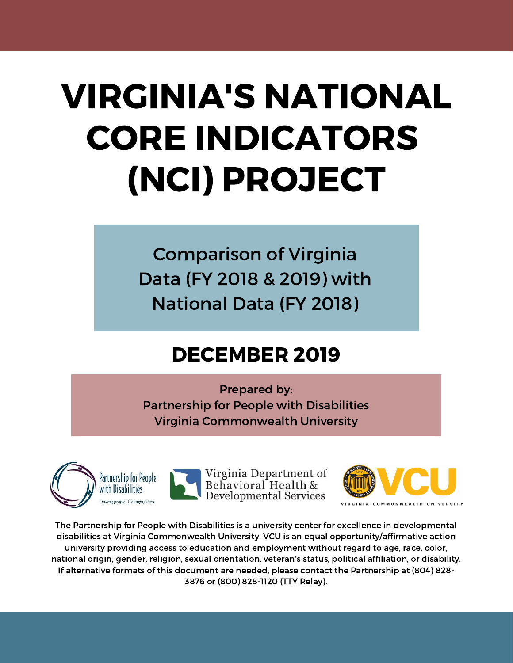# VIRGINIA'S NATIONAL CORE INDICATORS (NCI) PROJECT

Comparison of Virginia Data (FY 2018 & 2019) with National Data (FY 2018)

#### DECEMBER 2019

Prepared by: Partnership for People with Disabilities Virginia Commonwealth University







The Partnership for People with Disabilities is a university center for excellence in developmental disabilities at Virginia Commonwealth University. VCU is an equal opportunity/affirmative action university providing access to education and employment without regard to age, race, color, national origin, gender, religion, sexual orientation, veteran's status, political affiliation, or disability. If alternative formats of this document are needed, please contact the Partnership at (804) 828- 3876 or (800) 828-1120 (TTY Relay).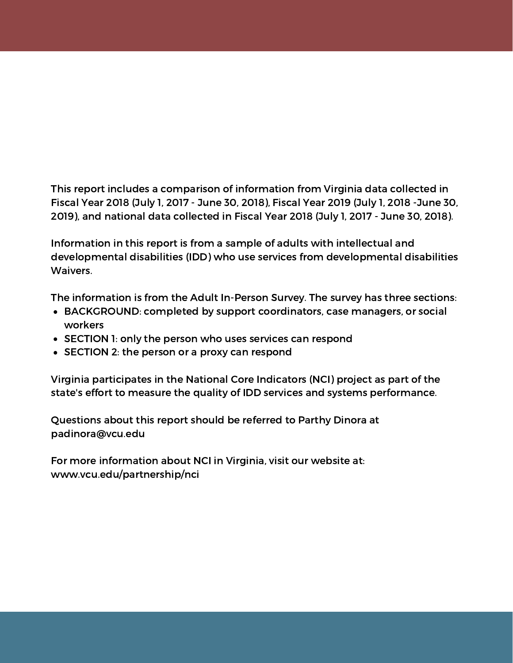This report includes a comparison of information from Virginia data collected in Fiscal Year 2018 (July 1, 2017 - June 30, 2018), Fiscal Year 2019 (July 1, 2018 -June 30, 2019), and national data collected in Fiscal Year 2018 (July 1, 2017 - June 30, 2018).

Information in this report is from a sample of adults with intellectual and developmental disabilities (IDD) who use services from developmental disabilities Waivers.

The information is from the Adult In-Person Survey. The survey has three sections:

- BACKGROUND: completed by support coordinators, case managers, or social workers
- SECTION 1: only the person who uses services can respond
- SECTION 2: the person or a proxy can respond

Virginia participates in the National Core Indicators (NCI) project as part of the state's effort to measure the quality of IDD services and systems performance.

Questions about this report should be referred to Parthy Dinora at padinora@vcu.edu

For more information about NCI in Virginia, visit our website at: www.vcu.edu/partnership/nci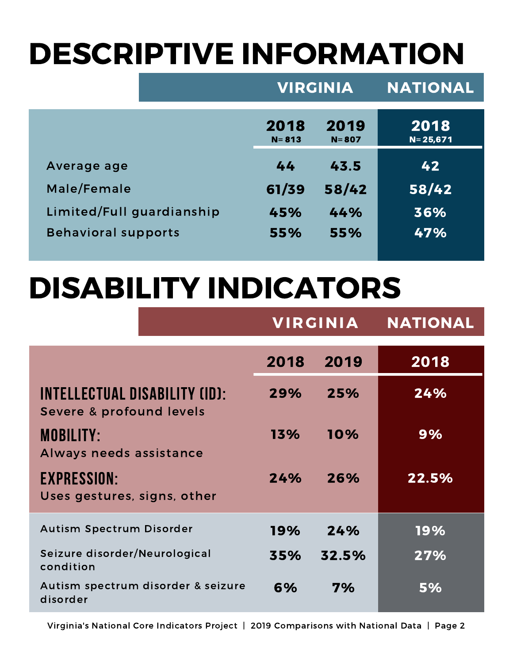# DESCRIPTIVE INFORMATION

|                            | <b>VIRGINIA</b>   |                   | <b>NATIONAL</b>      |
|----------------------------|-------------------|-------------------|----------------------|
|                            | 2018<br>$N = 813$ | 2019<br>$N = 807$ | 2018<br>$N = 25,671$ |
| Average age                | 44                | 43.5              | 42                   |
| Male/Female                | 61/39             | 58/42             | 58/42                |
| Limited/Full guardianship  | 45%               | 44%               | 36%                  |
| <b>Behavioral supports</b> | 55%               | 55%               | 47%                  |
|                            |                   |                   |                      |

#### DISABILITY INDICATORS

|                                                                  |      | <b>VIRGINIA</b> | <b>NATIONAL</b> |  |
|------------------------------------------------------------------|------|-----------------|-----------------|--|
|                                                                  | 2018 | 2019            | 2018            |  |
| <b>INTELLECTUAL DISABILITY (ID):</b><br>Severe & profound levels | 29%  | 25%             | 24%             |  |
| <b>MOBILITY:</b><br>Always needs assistance                      | 13%  | 10%             | 9%              |  |
| <b>EXPRESSION:</b><br>Uses gestures, signs, other                | 24%  | 26%             | 22.5%           |  |
| <b>Autism Spectrum Disorder</b>                                  | 19%  | 24%             | 19%             |  |
| Seizure disorder/Neurological<br>condition                       | 35%  | 32.5%           | 27%             |  |
| Autism spectrum disorder & seizure<br>disorder                   | 6%   | 7%              | 5%              |  |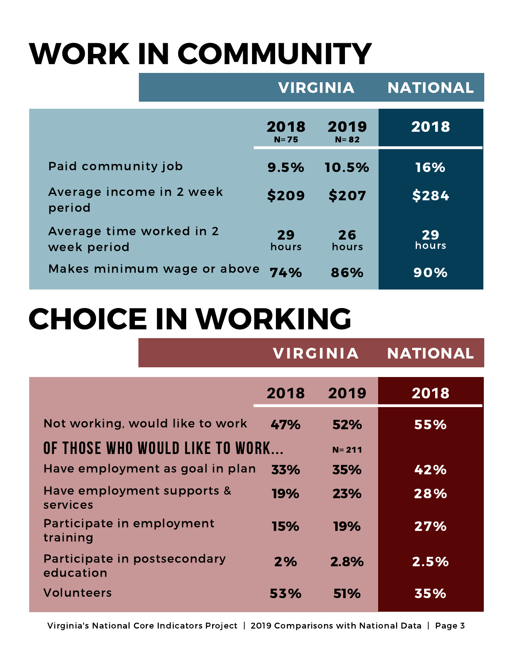# WORK IN COMMUNITY

|                                         | <b>VIRGINIA</b>  |                  | <b>NATIONAL</b> |
|-----------------------------------------|------------------|------------------|-----------------|
|                                         | 2018<br>$N = 75$ | 2019<br>$N = 82$ | 2018            |
| Paid community job                      | 9.5%             | 10.5%            | 16%             |
| Average income in 2 week<br>period      | \$209            | \$207            | \$284           |
| Average time worked in 2<br>week period | 29<br>hours      | 26<br>hours      | 29<br>hours     |
| Makes minimum wage or above             | 74%              | 86%              | 90%             |

#### CHOICE IN WORKING

|                                           | <b>VIRGINIA</b> |            | <b>NATIONAL</b> |
|-------------------------------------------|-----------------|------------|-----------------|
|                                           | 2018            | 2019       | 2018            |
| Not working, would like to work           | 47%             | 52%        | 55%             |
| OF THOSE WHO WOULD LIKE TO WORK           |                 | $N = 211$  |                 |
| Have employment as goal in plan           | 33%             | 35%        | 42%             |
| Have employment supports &<br>services    | 19%             | 23%        | 28%             |
| Participate in employment<br>training     | 15%             | 19%        | 27%             |
| Participate in postsecondary<br>education | 2%              | 2.8%       | 2.5%            |
| <b>Volunteers</b>                         | 53%             | <b>51%</b> | 35%             |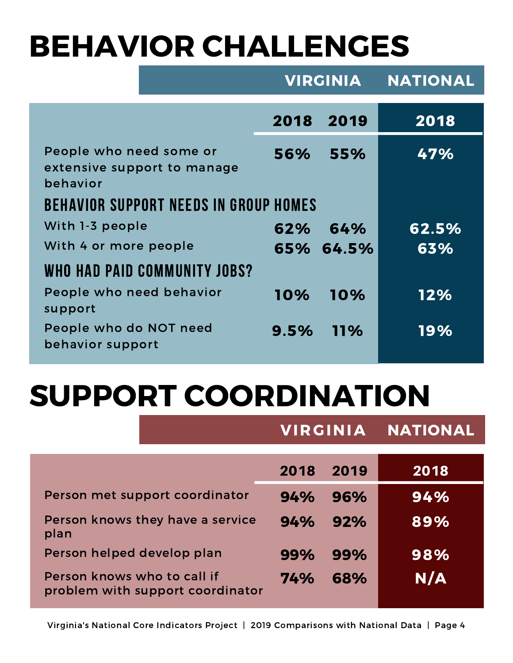# BEHAVIOR CHALLENGES

|                                                                    | <b>VIRGINIA</b> |           | <b>NATIONAL</b> |
|--------------------------------------------------------------------|-----------------|-----------|-----------------|
|                                                                    | 2018            | 2019      | 2018            |
| People who need some or<br>extensive support to manage<br>behavior | 56%             | 55%       | 47%             |
| <b>BEHAVIOR SUPPORT NEEDS IN GROUP HOMES</b>                       |                 |           |                 |
| With 1-3 people                                                    | 62%             | 64%       | 62.5%           |
| With 4 or more people                                              |                 | 65% 64.5% | 63%             |
| WHO HAD PAID COMMUNITY JOBS?                                       |                 |           |                 |
| People who need behavior<br>support                                | 10%             | 10%       | 12%             |
| People who do NOT need<br>behavior support                         | 9.5%            | $11\%$    | 19%             |

#### SUPPORT COORDINATION

|                                                                 | <b>VIRGINIA</b> |      | <b>NATIONAL</b> |  |
|-----------------------------------------------------------------|-----------------|------|-----------------|--|
|                                                                 | 2018            | 2019 | 2018            |  |
| Person met support coordinator                                  | 94%             | 96%  | 94%             |  |
| Person knows they have a service<br>plan                        | 94%             | 92%  | 89%             |  |
| Person helped develop plan                                      | 99%             | 99%  | 98%             |  |
| Person knows who to call if<br>problem with support coordinator | 74%             | 68%  | N/A             |  |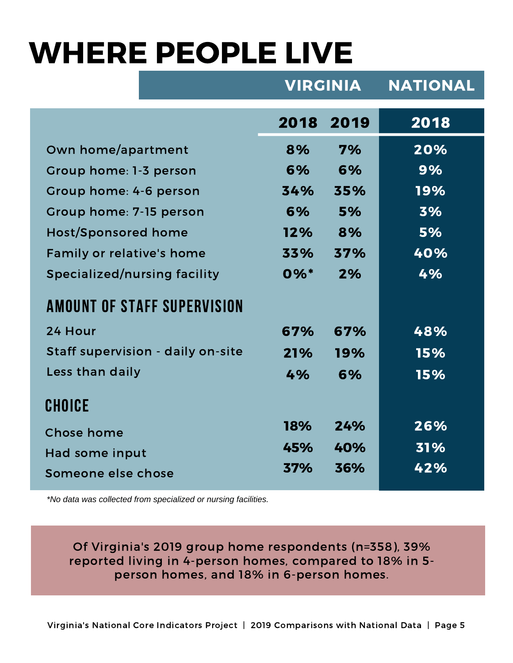#### WHERE PEOPLE LIVE

|                                     | <b>VIRGINIA</b>    |      | <b>NATIONAL</b> |
|-------------------------------------|--------------------|------|-----------------|
|                                     | 2018               | 2019 | 2018            |
| Own home/apartment                  | 8%                 | 7%   | 20%             |
| Group home: 1-3 person              | 6%                 | 6%   | 9%              |
| Group home: 4-6 person              | 34%                | 35%  | 19%             |
| Group home: 7-15 person             | 6%                 | 5%   | 3%              |
| <b>Host/Sponsored home</b>          | 12%                | 8%   | 5%              |
| Family or relative's home           | 33%                | 37%  | 40%             |
| <b>Specialized/nursing facility</b> | $0\%$ <sup>*</sup> | 2%   | 4%              |
| <b>AMOUNT OF STAFF SUPERVISION</b>  |                    |      |                 |
| 24 Hour                             | 67%                | 67%  | 48%             |
| Staff supervision - daily on-site   | 21%                | 19%  | 15%             |
| Less than daily                     | 4%                 | 6%   | 15%             |
| <b>CHOICE</b>                       |                    |      |                 |
| <b>Chose home</b>                   | <b>18%</b>         | 24%  | 26%             |
| Had some input                      | 45%                | 40%  | 31%             |
| Someone else chose                  | 37%                | 36%  | 42%             |

*\*No data was collected from specialized or nursing facilities.*

Of Virginia's 2019 group home respondents (n=358), 39% reported living in 4-person homes, compared to 18% in 5-<br>person homes, and 18% in 6-person homes.